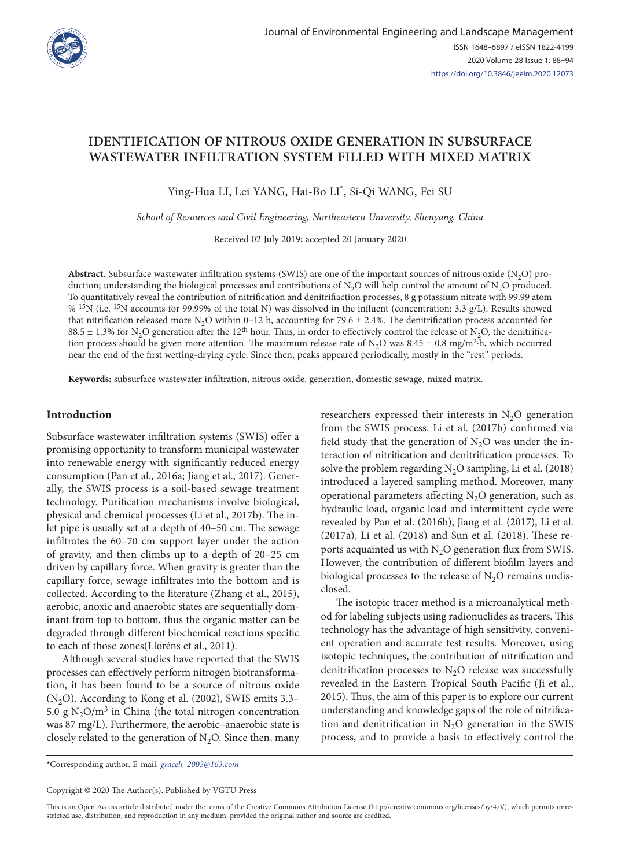

# **IDENTIFICATION OF NITROUS OXIDE GENERATION IN SUBSURFACE WASTEWATER INFILTRATION SYSTEM FILLED WITH MIXED MATRIX**

Ying-Hua LI, Lei YANG, Hai-Bo LI\* , Si-Qi WANG, Fei SU

*School of Resources and Civil Engineering, Northeastern University, Shenyang, China*

Received 02 July 2019; accepted 20 January 2020

**Abstract.** Subsurface wastewater infiltration systems (SWIS) are one of the important sources of nitrous oxide (N2O) production; understanding the biological processes and contributions of N<sub>2</sub>O will help control the amount of N<sub>2</sub>O produced. To quantitatively reveal the contribution of nitrification and denitrifiaction processes, 8 g potassium nitrate with 99.99 atom % <sup>15</sup>N (i.e. <sup>15</sup>N accounts for 99.99% of the total N) was dissolved in the influent (concentration: 3.3 g/L). Results showed that nitrification released more N<sub>2</sub>O within 0–12 h, accounting for 79.6  $\pm$  2.4%. The denitrification process accounted for 88.5  $\pm$  1.3% for N<sub>2</sub>O generation after the 12<sup>th</sup> hour. Thus, in order to effectively control the release of N<sub>2</sub>O, the denitrification process should be given more attention. The maximum release rate of N<sub>2</sub>O was 8.45  $\pm$  0.8 mg/m<sup>2</sup>·h, which occurred near the end of the first wetting-drying cycle. Since then, peaks appeared periodically, mostly in the "rest" periods.

**Keywords:** subsurface wastewater infiltration, nitrous oxide, generation, domestic sewage, mixed matrix.

## **Introduction**

Subsurface wastewater infiltration systems (SWIS) offer a promising opportunity to transform municipal wastewater into renewable energy with significantly reduced energy consumption (Pan et al., 2016a; Jiang et al., 2017). Generally, the SWIS process is a soil-based sewage treatment technology. Purification mechanisms involve biological, physical and chemical processes (Li et al., 2017b). The inlet pipe is usually set at a depth of 40–50 cm. The sewage infiltrates the 60–70 cm support layer under the action of gravity, and then climbs up to a depth of 20–25 cm driven by capillary force. When gravity is greater than the capillary force, sewage infiltrates into the bottom and is collected. According to the literature (Zhang et al., 2015), aerobic, anoxic and anaerobic states are sequentially dominant from top to bottom, thus the organic matter can be degraded through different biochemical reactions specific to each of those zones(Lloréns et al., 2011).

Although several studies have reported that the SWIS processes can effectively perform nitrogen biotransformation, it has been found to be a source of nitrous oxide  $(N<sub>2</sub>O)$ . According to Kong et al. (2002), SWIS emits 3.3– 5.0 g  $N_2O/m^3$  in China (the total nitrogen concentration was 87 mg/L). Furthermore, the aerobic–anaerobic state is closely related to the generation of  $N_2O$ . Since then, many researchers expressed their interests in  $N<sub>2</sub>O$  generation from the SWIS process. Li et al. (2017b) confirmed via field study that the generation of  $N<sub>2</sub>O$  was under the interaction of nitrification and denitrification processes. To solve the problem regarding  $N_2O$  sampling, Li et al. (2018) introduced a layered sampling method. Moreover, many operational parameters affecting  $N_2O$  generation, such as hydraulic load, organic load and intermittent cycle were revealed by Pan et al. (2016b), Jiang et al. (2017), Li et al. (2017a), Li et al. (2018) and Sun et al. (2018). These reports acquainted us with  $N<sub>2</sub>O$  generation flux from SWIS. However, the contribution of different biofilm layers and biological processes to the release of  $N<sub>2</sub>O$  remains undisclosed.

The isotopic tracer method is a microanalytical method for labeling subjects using radionuclides as tracers. This technology has the advantage of high sensitivity, convenient operation and accurate test results. Moreover, using isotopic techniques, the contribution of nitrification and denitrification processes to  $N<sub>2</sub>O$  release was successfully revealed in the Eastern Tropical South Pacific (Ji et al., 2015). Thus, the aim of this paper is to explore our current understanding and knowledge gaps of the role of nitrification and denitrification in  $N_2O$  generation in the SWIS process, and to provide a basis to effectively control the

\*Corresponding author. E-mail: *graceli\_2003@163.com*

This is an Open Access article distributed under the terms of the Creative Commons Attribution License [\(http://creativecommons.org/licenses/by/4.0/](http://creativecommons.org/licenses/by/4.0/)), which permits unrestricted use, distribution, and reproduction in any medium, provided the original author and source are credited.

Copyright © 2020 The Author(s). Published by VGTU Press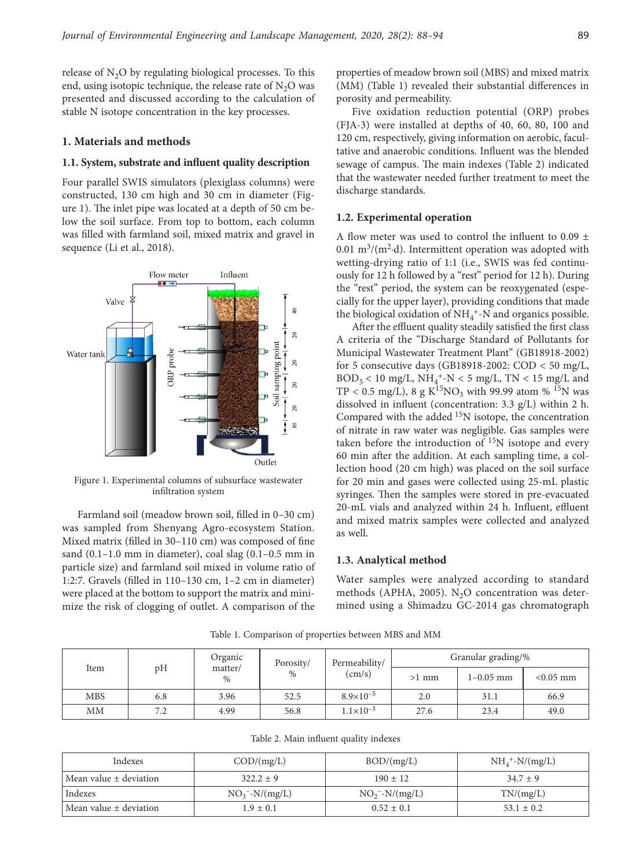release of  $N_2O$  by regulating biological processes. To this end, using isotopic technique, the release rate of  $N_2O$  was presented and discussed according to the calculation of stable N isotope concentration in the key processes.

# **1. Materials and methods**

#### **1.1. System, substrate and influent quality description**

Four parallel SWIS simulators (plexiglass columns) were constructed, 130 cm high and 30 cm in diameter (Figure 1). The inlet pipe was located at a depth of 50 cm below the soil surface. From top to bottom, each column was filled with farmland soil, mixed matrix and gravel in sequence (Li et al., 2018).



Figure 1. Experimental columns of subsurface wastewater infiltration system

Farmland soil (meadow brown soil, filled in 0–30 cm) was sampled from Shenyang Agro-ecosystem Station. Mixed matrix (filled in 30–110 cm) was composed of fine sand (0.1–1.0 mm in diameter), coal slag (0.1–0.5 mm in particle size) and farmland soil mixed in volume ratio of 1:2:7. Gravels (filled in 110–130 cm, 1–2 cm in diameter) were placed at the bottom to support the matrix and minimize the risk of clogging of outlet. A comparison of the properties of meadow brown soil (MBS) and mixed matrix (MM) (Table 1) revealed their substantial differences in porosity and permeability.

Five oxidation reduction potential (ORP) probes (FJA-3) were installed at depths of 40, 60, 80, 100 and 120 cm, respectively, giving information on aerobic, facultative and anaerobic conditions. Influent was the blended sewage of campus. The main indexes (Table 2) indicated that the wastewater needed further treatment to meet the discharge standards.

# **1.2. Experimental operation**

A flow meter was used to control the influent to  $0.09 \pm$ 0.01 m<sup>3</sup>/(m<sup>2</sup> $\cdot$ d). Intermittent operation was adopted with wetting-drying ratio of 1:1 (i.e., SWIS was fed continuously for 12 h followed by a "rest" period for 12 h). During the "rest" period, the system can be reoxygenated (especially for the upper layer), providing conditions that made the biological oxidation of  $\mathrm{NH}_4$  \*-N and organics possible.

After the effluent quality steadily satisfied the first class A criteria of the "Discharge Standard of Pollutants for Municipal Wastewater Treatment Plant" (GB18918-2002) for 5 consecutive days (GB18918-2002: COD < 50 mg/L,  $BOD_5 < 10$  mg/L,  $NH_4^+$ -N  $< 5$  mg/L, TN  $< 15$  mg/L and TP < 0.5 mg/L), 8 g K<sup>15</sup>NO<sub>3</sub> with 99.99 atom % <sup>15</sup>N was dissolved in influent (concentration: 3.3 g/L) within 2 h. Compared with the added <sup>15</sup>N isotope, the concentration of nitrate in raw water was negligible. Gas samples were taken before the introduction of  $15N$  isotope and every 60 min after the addition. At each sampling time, a collection hood (20 cm high) was placed on the soil surface for 20 min and gases were collected using 25-mL plastic syringes. Then the samples were stored in pre-evacuated 20-mL vials and analyzed within 24 h. Influent, effluent and mixed matrix samples were collected and analyzed as well.

# **1.3. Analytical method**

Water samples were analyzed according to standard methods (APHA, 2005). N<sub>2</sub>O concentration was determined using a Shimadzu GC-2014 gas chromatograph

|  | Item       | pH  | Organic<br>matter/<br>$\%$ | Porosity/<br>$\%$ | Permeability/<br>$\text{(cm/s)}$ | Granular grading/% |           |             |
|--|------------|-----|----------------------------|-------------------|----------------------------------|--------------------|-----------|-------------|
|  |            |     |                            |                   |                                  | $>1$ mm            | 1-0.05 mm | $< 0.05$ mm |
|  | <b>MBS</b> | 6.8 | 3.96                       | 52.5              | $8.9\times10^{-5}$               | 2.0                | 31.1      | 66.9        |
|  | <b>MM</b>  | 7.2 | 4.99                       | 56.8              | $1.1 \times 10^{-3}$             | 27.6               | 23.4      | 49.0        |

Table 1. Comparison of properties between MBS and MM

| Indexes                    | $\text{COD}/\text{(mg/L)}$ | BOD/(mg/L)       | $NH_4^+$ -N/(mg/L) |
|----------------------------|----------------------------|------------------|--------------------|
| Mean value $\pm$ deviation | $322.2 \pm 9$              | $190 \pm 12$     | $34.7 \pm 9$       |
| Indexes                    | $NO_3^- - N/(mg/L)$        | $NO2 - N/(mg/L)$ | TN/(mg/L)          |
| Mean value $\pm$ deviation | $1.9 \pm 0.1$              | $0.52 \pm 0.1$   | $53.1 \pm 0.2$     |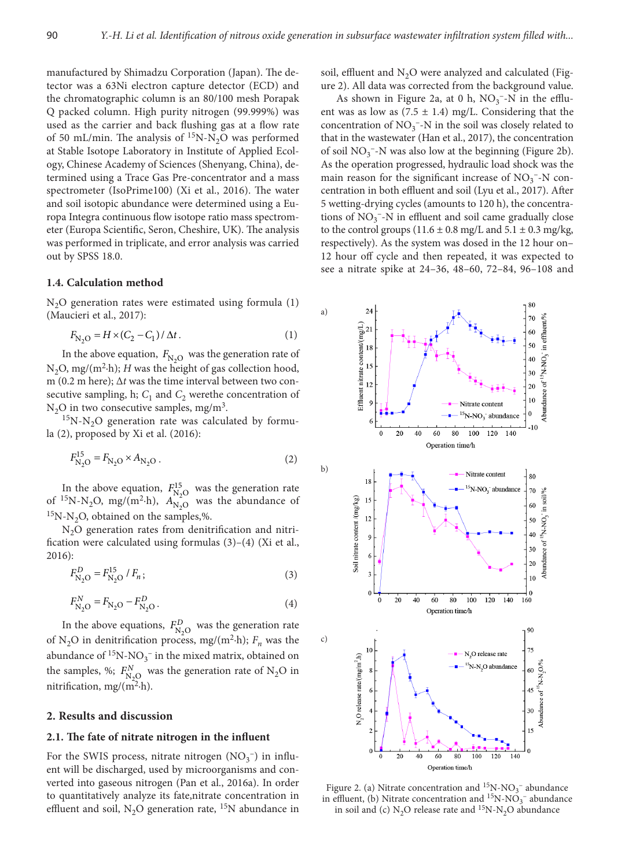manufactured by Shimadzu Corporation (Japan). The detector was a 63Ni electron capture detector (ECD) and the chromatographic column is an 80/100 mesh Porapak Q packed column. High purity nitrogen (99.999%) was used as the carrier and back flushing gas at a flow rate of 50 mL/min. The analysis of  ${}^{15}N-N_2O$  was performed at Stable Isotope Laboratory in Institute of Applied Ecology, Chinese Academy of Sciences (Shenyang, China), determined using a Trace Gas Pre-concentrator and a mass spectrometer (IsoPrime100) (Xi et al., 2016). The water and soil isotopic abundance were determined using a Europa Integra continuous flow isotope ratio mass spectrometer (Europa Scientific, Seron, Cheshire, UK). The analysis was performed in triplicate, and error analysis was carried out by SPSS 18.0.

#### **1.4. Calculation method**

 $N<sub>2</sub>O$  generation rates were estimated using formula (1) (Maucieri et al., 2017):

$$
F_{\rm N_2O} = H \times (C_2 - C_1) / \Delta t. \tag{1}
$$

In the above equation,  $F_{N,Q}$  was the generation rate of  $N_2O$ , mg/(m<sup>2</sup>·h); *H* was the height of gas collection hood, m (0.2 m here); Δ*t* was the time interval between two consecutive sampling, h;  $C_1$  and  $C_2$  were the concentration of  $N_2O$  in two consecutive samples, mg/m<sup>3</sup>.

 $15N-N<sub>2</sub>O$  generation rate was calculated by formula (2), proposed by Xi et al. (2016):

$$
F_{\rm N_2O}^{15} = F_{\rm N_2O} \times A_{\rm N_2O} \,. \tag{2}
$$

In the above equation,  $F_{N_2O}^{15}$  was the generation rate of <sup>15</sup>N-N<sub>2</sub>O, mg/(m<sup>2</sup>·h),  $A_{N_2O}^{N_2O}$  was the abundance of  $15N-N<sub>2</sub>O$ , obtained on the samples,%.

N<sub>2</sub>O generation rates from denitrification and nitrification were calculated using formulas (3)–(4) (Xi et al., 2016):

$$
F_{\rm N_2O}^D = F_{\rm N_2O}^{15} / F_n \tag{3}
$$

$$
F_{\rm N_2O}^N = F_{\rm N_2O} - F_{\rm N_2O}^D.
$$
\n(4)

In the above equations,  $F_{N_2O}^D$  was the generation rate of N<sub>2</sub>O in denitrification process, mg/(m<sup>2</sup>·h);  $F_n$  was the abundance of  ${}^{15}N\text{-}NO_3^-$  in the mixed matrix, obtained on the samples, %;  $F_{N_2O}^N$  was the generation rate of N<sub>2</sub>O in nitrification, mg/ $(m^2-h)$ .

# **2. Results and discussion**

#### **2.1. The fate of nitrate nitrogen in the influent**

For the SWIS process, nitrate nitrogen  $(NO<sub>3</sub><sup>-</sup>)$  in influent will be discharged, used by microorganisms and converted into gaseous nitrogen (Pan et al., 2016a). In order to quantitatively analyze its fate,nitrate concentration in effluent and soil,  $N_2O$  generation rate, <sup>15</sup>N abundance in soil, effluent and  $N_2O$  were analyzed and calculated (Figure 2). All data was corrected from the background value.

As shown in Figure 2a, at 0 h,  $NO<sub>3</sub><sup>-</sup>-N$  in the effluent was as low as  $(7.5 \pm 1.4)$  mg/L. Considering that the concentration of  $\mathrm{NO_3^{-1}N}$  in the soil was closely related to that in the wastewater (Han et al., 2017), the concentration of soil  $\mathrm{NO_3}^-$  -N was also low at the beginning (Figure 2b). As the operation progressed, hydraulic load shock was the main reason for the significant increase of  $NO<sub>3</sub><sup>-</sup>-N$  concentration in both effluent and soil (Lyu et al., 2017). After 5 wetting-drying cycles (amounts to 120 h), the concentrations of  $\mathrm{NO_3^{--}N}$  in effluent and soil came gradually close to the control groups  $(11.6 \pm 0.8 \text{ mg/L} \text{ and } 5.1 \pm 0.3 \text{ mg/kg})$ respectively). As the system was dosed in the 12 hour on– 12 hour off cycle and then repeated, it was expected to see a nitrate spike at 24–36, 48–60, 72–84, 96–108 and



Figure 2. (a) Nitrate concentration and  ${}^{15}N$ -NO<sub>3</sub><sup>-</sup> abundance in effluent, (b) Nitrate concentration and  ${}^{15}N\text{-}NO_3^-$  abundance in soil and (c)  $N_2O$  release rate and <sup>15</sup>N-N<sub>2</sub>O abundance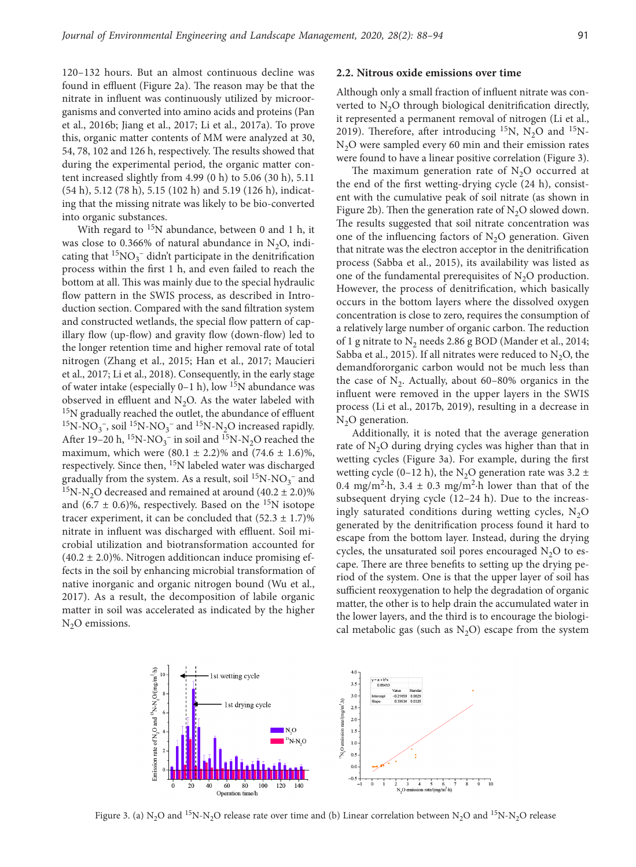120–132 hours. But an almost continuous decline was found in effluent (Figure 2a). The reason may be that the nitrate in influent was continuously utilized by microorganisms and converted into amino acids and proteins (Pan et al., 2016b; Jiang et al., 2017; Li et al., 2017a). To prove this, organic matter contents of MM were analyzed at 30, 54, 78, 102 and 126 h, respectively. The results showed that during the experimental period, the organic matter content increased slightly from 4.99 (0 h) to 5.06 (30 h), 5.11 (54 h), 5.12 (78 h), 5.15 (102 h) and 5.19 (126 h), indicating that the missing nitrate was likely to be bio-converted into organic substances.

With regard to  $15N$  abundance, between 0 and 1 h, it was close to 0.366% of natural abundance in  $N_2O$ , indicating that  $\mathrm{^{15}NO_{3}^{-}}$  didn't participate in the denitrification process within the first 1 h, and even failed to reach the bottom at all. This was mainly due to the special hydraulic flow pattern in the SWIS process, as described in Introduction section. Compared with the sand filtration system and constructed wetlands, the special flow pattern of capillary flow (up-flow) and gravity flow (down-flow) led to the longer retention time and higher removal rate of total nitrogen (Zhang et al., 2015; Han et al., 2017; Maucieri et al., 2017; Li et al., 2018). Consequently, in the early stage of water intake (especially  $0-1$  h), low  $15N$  abundance was observed in effluent and  $N_2O$ . As the water labeled with <sup>15</sup>N gradually reached the outlet, the abundance of effluent <sup>15</sup>N-NO<sub>3</sub><sup>-</sup>, soil<sup>15</sup>N-NO<sub>3</sub><sup>-</sup> and <sup>15</sup>N-N<sub>2</sub>O increased rapidly. After 19–20 h, <sup>15</sup>N-NO<sub>3</sub><sup>-</sup> in soil and <sup>15</sup>N-N<sub>2</sub>O reached the maximum, which were  $(80.1 \pm 2.2)\%$  and  $(74.6 \pm 1.6)\%$ , respectively. Since then, 15N labeled water was discharged gradually from the system. As a result, soil  $^{15}$ N-NO<sub>3</sub><sup>-</sup> and  $15N-N<sub>2</sub>O$  decreased and remained at around (40.2 ± 2.0)% and  $(6.7 \pm 0.6)\%$ , respectively. Based on the <sup>15</sup>N isotope tracer experiment, it can be concluded that  $(52.3 \pm 1.7)\%$ nitrate in influent was discharged with effluent. Soil microbial utilization and biotransformation accounted for  $(40.2 \pm 2.0)\%$ . Nitrogen additioncan induce promising effects in the soil by enhancing microbial transformation of native inorganic and organic nitrogen bound (Wu et al., 2017). As a result, the decomposition of labile organic matter in soil was accelerated as indicated by the higher  $N<sub>2</sub>O$  emissions.

# **2.2. Nitrous oxide emissions over time**

Although only a small fraction of influent nitrate was converted to  $N<sub>2</sub>O$  through biological denitrification directly, it represented a permanent removal of nitrogen (Li et al., 2019). Therefore, after introducing  $^{15}N$ , N<sub>2</sub>O and  $^{15}N$ - $N<sub>2</sub>O$  were sampled every 60 min and their emission rates were found to have a linear positive correlation (Figure 3).

The maximum generation rate of  $N_2O$  occurred at the end of the first wetting-drying cycle (24 h), consistent with the cumulative peak of soil nitrate (as shown in Figure 2b). Then the generation rate of  $N<sub>2</sub>O$  slowed down. The results suggested that soil nitrate concentration was one of the influencing factors of  $N<sub>2</sub>O$  generation. Given that nitrate was the electron acceptor in the denitrification process (Sabba et al., 2015), its availability was listed as one of the fundamental prerequisites of  $N_2O$  production. However, the process of denitrification, which basically occurs in the bottom layers where the dissolved oxygen concentration is close to zero, requires the consumption of a relatively large number of organic carbon. The reduction of 1 g nitrate to  $N_2$  needs 2.86 g BOD (Mander et al., 2014; Sabba et al., 2015). If all nitrates were reduced to  $N_2O$ , the demandfororganic carbon would not be much less than the case of  $N<sub>2</sub>$ . Actually, about 60–80% organics in the influent were removed in the upper layers in the SWIS process (Li et al., 2017b, 2019), resulting in a decrease in  $N<sub>2</sub>O$  generation.

Additionally, it is noted that the average generation rate of  $N_2O$  during drying cycles was higher than that in wetting cycles (Figure 3a). For example, during the first wetting cycle (0–12 h), the N<sub>2</sub>O generation rate was 3.2  $\pm$ 0.4 mg/m<sup>2</sup> $\cdot$ h, 3.4  $\pm$  0.3 mg/m<sup>2</sup> $\cdot$ h lower than that of the subsequent drying cycle (12–24 h). Due to the increasingly saturated conditions during wetting cycles,  $N_2O$ generated by the denitrification process found it hard to escape from the bottom layer. Instead, during the drying cycles, the unsaturated soil pores encouraged  $N_2O$  to escape. There are three benefits to setting up the drying period of the system. One is that the upper layer of soil has sufficient reoxygenation to help the degradation of organic matter, the other is to help drain the accumulated water in the lower layers, and the third is to encourage the biological metabolic gas (such as  $N_2O$ ) escape from the system



Figure 3. (a) N<sub>2</sub>O and <sup>15</sup>N-N<sub>2</sub>O release rate over time and (b) Linear correlation between N<sub>2</sub>O and <sup>15</sup>N-N<sub>2</sub>O release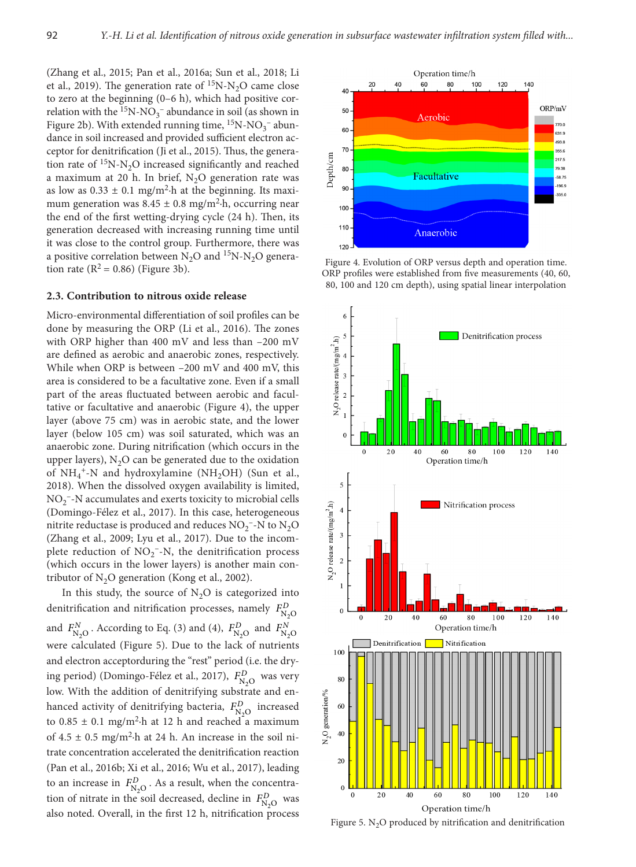(Zhang et al., 2015; Pan et al., 2016a; Sun et al., 2018; Li et al., 2019). The generation rate of  ${}^{15}N-N<sub>2</sub>O$  came close to zero at the beginning  $(0-6 h)$ , which had positive correlation with the  ${}^{15}N\text{-}NO_3^-$  abundance in soil (as shown in Figure 2b). With extended running time,  ${}^{15}N-NO_3^-$  abundance in soil increased and provided sufficient electron acceptor for denitrification (Ji et al., 2015). Thus, the generation rate of  ${}^{15}N-N<sub>2</sub>O$  increased significantly and reached a maximum at 20 h. In brief,  $N_2O$  generation rate was as low as  $0.33 \pm 0.1$  mg/m<sup>2</sup> $\cdot$ h at the beginning. Its maximum generation was  $8.45 \pm 0.8$  mg/m<sup>2</sup>·h, occurring near the end of the first wetting-drying cycle (24 h). Then, its generation decreased with increasing running time until it was close to the control group. Furthermore, there was a positive correlation between  $N_2O$  and  $^{15}N-N_2O$  generation rate  $(R^2 = 0.86)$  (Figure 3b).

#### **2.3. Contribution to nitrous oxide release**

Micro-environmental differentiation of soil profiles can be done by measuring the ORP (Li et al., 2016). The zones with ORP higher than 400 mV and less than –200 mV are defined as aerobic and anaerobic zones, respectively. While when ORP is between –200 mV and 400 mV, this area is considered to be a facultative zone. Even if a small part of the areas fluctuated between aerobic and facultative or facultative and anaerobic (Figure 4), the upper layer (above 75 cm) was in aerobic state, and the lower layer (below 105 cm) was soil saturated, which was an anaerobic zone. During nitrification (which occurs in the upper layers),  $N_2O$  can be generated due to the oxidation of  $NH_4^+$ -N and hydroxylamine (NH<sub>2</sub>OH) (Sun et al., 2018). When the dissolved oxygen availability is limited,  $NO<sub>2</sub>$  –N accumulates and exerts toxicity to microbial cells (Domingo-Félez et al., 2017). In this case, heterogeneous nitrite reductase is produced and reduces  $\mathrm{NO_2^{-1}N}$  to  $\mathrm{N_2O}$ (Zhang et al., 2009; Lyu et al., 2017). Due to the incomplete reduction of  $NO_2^-$ -N, the denitrification process (which occurs in the lower layers) is another main contributor of  $N_2O$  generation (Kong et al., 2002).

In this study, the source of  $N_2O$  is categorized into denitrification and nitrification processes, namely  $F_{\text{N}_2\text{O}}^D$ and  $F_{\text{N}_2\text{O}}^N$ . According to Eq. (3) and (4),  $F_{\text{N}_2\text{O}}^D$  and  $F_{\text{N}_2\text{O}}^N$ were calculated (Figure 5). Due to the lack of nutrients and electron acceptorduring the "rest" period (i.e. the drying period) (Domingo-Félez et al., 2017),  $F_{N_2O}^D$  was very low. With the addition of denitrifying substrate and enhanced activity of denitrifying bacteria,  $F_{N_2O}^D$  increased to  $0.85 \pm 0.1$  mg/m<sup>2</sup> $\cdot$ h at 12 h and reached a maximum of  $4.5 \pm 0.5$  mg/m<sup>2</sup> $\cdot$ h at 24 h. An increase in the soil nitrate concentration accelerated the denitrification reaction (Pan et al., 2016b; Xi et al., 2016; Wu et al., 2017), leading to an increase in  $F_{N_2O}^D$ . As a result, when the concentration of nitrate in the soil decreased, decline in  $F_{N_2O}^D$  was also noted. Overall, in the first 12 h, nitrification process



Figure 4. Evolution of ORP versus depth and operation time. ORP profiles were established from five measurements (40, 60, 80, 100 and 120 cm depth), using spatial linear interpolation



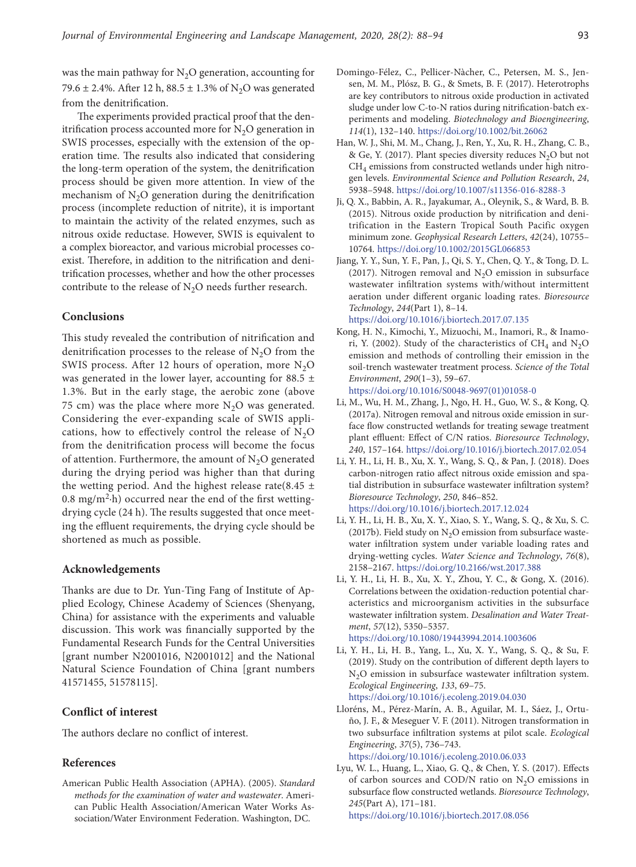was the main pathway for  $N_2O$  generation, accounting for 79.6  $\pm$  2.4%. After 12 h, 88.5  $\pm$  1.3% of N<sub>2</sub>O was generated from the denitrification.

The experiments provided practical proof that the denitrification process accounted more for  $N<sub>2</sub>O$  generation in SWIS processes, especially with the extension of the operation time. The results also indicated that considering the long-term operation of the system, the denitrification process should be given more attention. In view of the mechanism of  $N<sub>2</sub>O$  generation during the denitrification process (incomplete reduction of nitrite), it is important to maintain the activity of the related enzymes, such as nitrous oxide reductase. However, SWIS is equivalent to a complex bioreactor, and various microbial processes coexist. Therefore, in addition to the nitrification and denitrification processes, whether and how the other processes contribute to the release of  $N_2O$  needs further research.

# **Conclusions**

This study revealed the contribution of nitrification and denitrification processes to the release of  $N<sub>2</sub>O$  from the SWIS process. After 12 hours of operation, more  $N_2O$ was generated in the lower layer, accounting for 88.5  $\pm$ 1.3%. But in the early stage, the aerobic zone (above 75 cm) was the place where more  $N_2O$  was generated. Considering the ever-expanding scale of SWIS applications, how to effectively control the release of  $N_2O$ from the denitrification process will become the focus of attention. Furthermore, the amount of  $N_2O$  generated during the drying period was higher than that during the wetting period. And the highest release rate(8.45  $\pm$  $0.8 \text{ mg/m}^2$ -h) occurred near the end of the first wettingdrying cycle (24 h). The results suggested that once meeting the effluent requirements, the drying cycle should be shortened as much as possible.

# **Acknowledgements**

Thanks are due to Dr. Yun-Ting Fang of Institute of Applied Ecology, Chinese Academy of Sciences (Shenyang, China) for assistance with the experiments and valuable discussion. This work was financially supported by the Fundamental Research Funds for the Central Universities [grant number N2001016, N2001012] and the National Natural Science Foundation of China [grant numbers 41571455, 51578115].

# **Conflict of interest**

The authors declare no conflict of interest.

# **References**

American Public Health Association (APHA). (2005). *Standard methods for the examination of water and wastewater*. American Public Health Association/American Water Works Association/Water Environment Federation. Washington, DC.

- Domingo-Félez, C., Pellicer-Nàcher, C., Petersen, M. S., Jensen, M. M., Plósz, B. G., & Smets, B. F. (2017). Heterotrophs are key contributors to nitrous oxide production in activated sludge under low C-to-N ratios during nitrification-batch experiments and modeling. *Biotechnology and Bioengineering*, *114*(1), 132–140. <https://doi.org/10.1002/bit.26062>
- Han, W. J., Shi, M. M., Chang, J., Ren, Y., Xu, R. H., Zhang, C. B., & Ge, Y. (2017). Plant species diversity reduces  $N_2O$  but not CH<sub>4</sub> emissions from constructed wetlands under high nitrogen levels. *Environmental Science and Pollution Research*, *24*, 5938–5948. <https://doi.org/10.1007/s11356-016-8288-3>
- Ji, Q. X., Babbin, A. R., Jayakumar, A., Oleynik, S., & Ward, B. B. (2015). Nitrous oxide production by nitrification and denitrification in the Eastern Tropical South Pacific oxygen minimum zone. *Geophysical Research Letters*, *42*(24), 10755– 10764. <https://doi.org/10.1002/2015GL066853>
- Jiang, Y. Y., Sun, Y. F., Pan, J., Qi, S. Y., Chen, Q. Y., & Tong, D. L. (2017). Nitrogen removal and  $N_2O$  emission in subsurface wastewater infiltration systems with/without intermittent aeration under different organic loading rates. *Bioresource Technology*, *244*(Part 1), 8–14.

<https://doi.org/10.1016/j.biortech.2017.07.135>

- Kong, H. N., Kimochi, Y., Mizuochi, M., Inamori, R., & Inamori, Y. (2002). Study of the characteristics of  $CH<sub>4</sub>$  and N<sub>2</sub>O emission and methods of controlling their emission in the soil-trench wastewater treatment process. *Science of the Total Environment*, *290*(1–3), 59–67. [https://doi.org/10.1016/S0048-9697\(01\)01058-0](https://doi.org/10.1016/S0048-9697(01)01058-0)
- Li, M., Wu, H. M., Zhang, J., Ngo, H. H., Guo, W. S., & Kong, Q. (2017a). Nitrogen removal and nitrous oxide emission in surface flow constructed wetlands for treating sewage treatment plant effluent: Effect of C/N ratios. *Bioresource Technology*, *240*, 157–164. <https://doi.org/10.1016/j.biortech.2017.02.054>
- Li, Y. H., Li, H. B., Xu, X. Y., Wang, S. Q., & Pan, J. (2018). Does carbon-nitrogen ratio affect nitrous oxide emission and spatial distribution in subsurface wastewater infiltration system? *Bioresource Technology*, *250*, 846–852. <https://doi.org/10.1016/j.biortech.2017.12.024>
- Li, Y. H., Li, H. B., Xu, X. Y., Xiao, S. Y., Wang, S. Q., & Xu, S. C. (2017b). Field study on  $N_2O$  emission from subsurface wastewater infiltration system under variable loading rates and drying-wetting cycles. *Water Science and Technology*, *76*(8), 2158–2167. <https://doi.org/10.2166/wst.2017.388>
- Li, Y. H., Li, H. B., Xu, X. Y., Zhou, Y. C., & Gong, X. (2016). Correlations between the oxidation-reduction potential characteristics and microorganism activities in the subsurface wastewater infiltration system. *Desalination and Water Treatment*, *57*(12), 5350–5357.

<https://doi.org/10.1080/19443994.2014.1003606>

Li, Y. H., Li, H. B., Yang, L., Xu, X. Y., Wang, S. Q., & Su, F. (2019). Study on the contribution of different depth layers to  $N<sub>2</sub>O$  emission in subsurface wastewater infiltration system. *Ecological Engineering*, *133*, 69–75.

<https://doi.org/10.1016/j.ecoleng.2019.04.030>

- Lloréns, M., Pérez-Marín, A. B., Aguilar, M. I., Sáez, J., Ortuño, J. F., & Meseguer V. F. (2011). Nitrogen transformation in two subsurface infiltration systems at pilot scale. *Ecological Engineering*, *37*(5), 736–743. <https://doi.org/10.1016/j.ecoleng.2010.06.033>
- Lyu, W. L., Huang, L., Xiao, G. Q., & Chen, Y. S. (2017). Effects of carbon sources and COD/N ratio on  $N_2O$  emissions in subsurface flow constructed wetlands. *Bioresource Technology*, *245*(Part A), 171–181.

<https://doi.org/10.1016/j.biortech.2017.08.056>